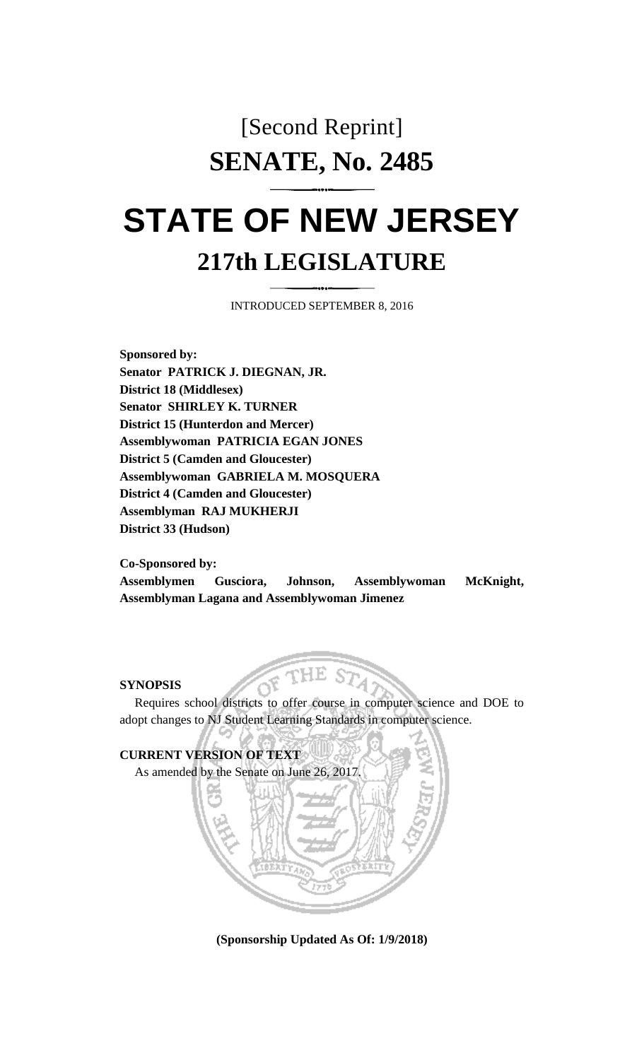## [Second Reprint] **SENATE, No. 2485**

## **STATE OF NEW JERSEY 217th LEGISLATURE**

INTRODUCED SEPTEMBER 8, 2016

**Sponsored by: Senator PATRICK J. DIEGNAN, JR. District 18 (Middlesex) Senator SHIRLEY K. TURNER District 15 (Hunterdon and Mercer) Assemblywoman PATRICIA EGAN JONES District 5 (Camden and Gloucester) Assemblywoman GABRIELA M. MOSQUERA District 4 (Camden and Gloucester) Assemblyman RAJ MUKHERJI District 33 (Hudson)**

**Co-Sponsored by:**

**Assemblymen Gusciora, Johnson, Assemblywoman McKnight, Assemblyman Lagana and Assemblywoman Jimenez**

## **SYNOPSIS**

Requires school districts to offer course in computer science and DOE to adopt changes to NJ Student Learning Standards in computer science.



**(Sponsorship Updated As Of: 1/9/2018)**